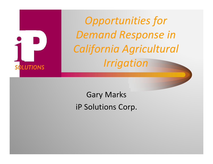

Gary Marks iP Solutions Corp.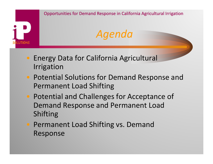

- Energy Data for California Agricultural Irrigation
- Potential Solutions for Demand Response and Permanent Load Shifting
- **Potential and Challenges for Acceptance of** Demand Response and Permanent Load Shifting
- **Permanent Load Shifting vs. Demand** Response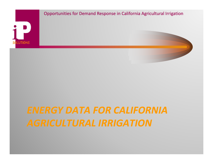

## *ENERGY DATA FOR CALIFORNIA AGRICULTURAL IRRIGATION*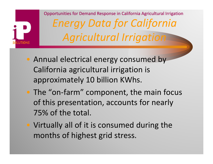

Opportunities for Demand Response in California Agricultural Irrigation *Energy Data for California Agricultural Irrigation*

- Annual electrical energy consumed by California agricultural irrigation is approximately 10 billion KWhs.
- The "on-farm" component, the main focus of this presentation, accounts for nearly 75% of the total.
- Virtually all of it is consumed during the months of highest grid stress.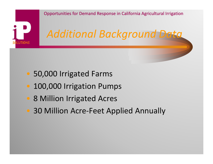

- 50,000 Irrigated Farms
- 100,000 Irrigation Pumps
- 8 Million Irrigated Acres
- 30 Million Acre-Feet Applied Annually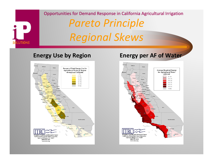



#### **Energy Use by Region Energy per AF of Water**

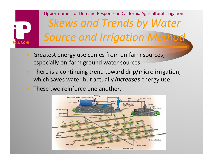#### Opportunities for Demand Response in California Agricultural Irrigation *Skews and Trends by Water Source and Irrigation Method* **SOLUTIONS**

- Greatest energy use comes from on-farm sources, especially on-farm ground water sources.
- There is <sup>a</sup> continuing trend toward drip/micro irrigation, which saves water but actually *increases* energy use.
- These two reinforce one another.

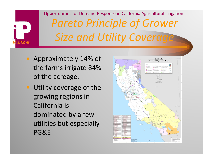# **DLUTIONS**

## Opportunities for Demand Response in California Agricultural Irrigation *Pareto Principle of Grower Size and Utility Coverage*

- Approximately 14% of the farms irrigate 84% of the acreage.
- Utility coverage of the growing regions in California is dominated by <sup>a</sup> few utilities but especially PG&E

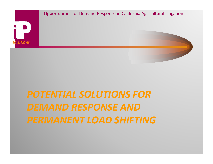

## *POTENTIAL SOLUTIONS FORDEMAND RESPONSE AND PERMANENT LOAD SHIFTING*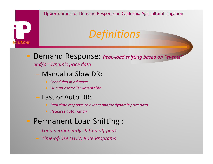Demand Response: *Peak‐load shifting based on "events"*

#### *and/or dynamic price data*

**SOLUTIONS** 

– Manual or Slow DR:

- *Scheduled in advance*
- *Human controller acceptable*

#### Fast or Auto DR:

- *Real‐time response to events and/or dynamic price data*
- *Requires automation*

### Permanent Load Shifting :

- *Load permanently shifted off‐peak*
- *Time‐of‐Use (TOU) Rate Programs*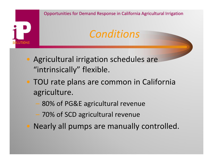

- Agricultural irrigation schedules are "intrinsically" flexible.
- TOU rate plans are common in California agriculture.
	- 80% of PG&E agricultural revenue
	- 70% of SCD agricultural revenue
- Nearly all pumps are manually controlled.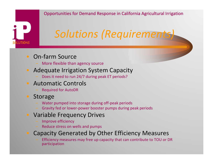## *Solutions (Requirements)*

#### • On-farm Source

More flexible than agency source

#### • Adequate Irrigation System Capacity

- Does it need to run 24/7 during peak ET periods?

#### • Automatic Controls

Required for AutoDR

#### • Storage

**SOLUTIONS** 

- Water pumped into storage during off‐peak periods
- Gravity fed or lower‐power booster pumps during peak periods

#### Variable Frequency Drives

- Improve efficiency
- Reduce stress on wells and pumps

#### Capacity Generated by Other Efficiency Measures

 Efficiency measures may free up capacity that can contribute to TOU or DR participation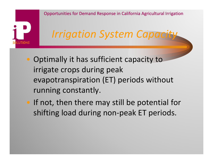

## *Irrigation System Capacity*

- Optimally it has sufficient capacity to irrigate crops during peak evapotranspiration (ET) periods without running constantly.
- If not, then there may still be potential for shifting load during non‐peak ET periods.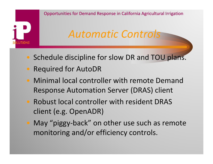

## *Automatic Controls*

- Schedule discipline for slow DR and TOU plans.
- Required for AutoDR
- Minimal local controller with remote Demand Response Automation Server (DRAS) client
- Robust local controller with resident DRAS client (e.g. OpenADR)
- May "piggy‐back" on other use such as remote monitoring and/or efficiency controls.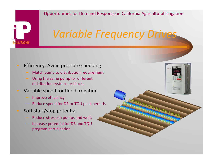## *Variable Frequency Drives*

#### Efficiency: Avoid pressure shedding

- Match pump to distribution requirement
- Using the same pump for different distribution systems or blocks

#### Variable speed for flood irrigation

Improve efficiency

**SOLUTIONS** 

- Reduce speed for DR or TOU peak periods
- Soft start/stop potential
	- $-$  Reduce stress on pumps and wells
	- Increase potential for DR and TOU program participation

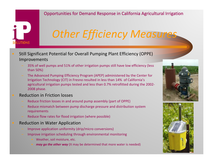## *Other Efficiency Measures*

- Still Significant Potential for Overall Pumping Plant Efficiency (OPPE) Improvements
	- 35% of well pumps and 51% of other irrigation pumps still have low efficiency (less than 50%)
	- The Advanced Pumping Efficiency Program (APEP) administered by the Center for Irrigation Technology (CIT) in Fresno resulted in less than 14% of California's agricultural irrigation pumps tested and less than 0.7% retrofitted during the 2002‐ 2008 phase.
- Reduction in Friction losses

**SOLUTIONS** 

- Reduce friction losses in and around pump assembly (part of OPPE)
- Reduce mismatch between pump discharge pressure and distribution system requirements
- Reduce flow rates for flood irrigation (where possible)
- Reduction in Water Application
	- Improve application uniformity (drip/micro conversions)
	- Improve irrigation scheduling through environmental monitoring
		- Weather, soil moisture, etc.
		- *may go the other way* (It may be determined that more water is needed)



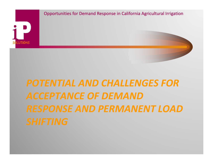

## *POTENTIAL AND CHALLENGES FOR ACCEPTANCE OF DEMANDRESPONSE AND PERMANENT LOAD*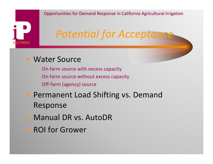## *Potential for Acceptance*

#### • Water Source

**SOLUTIONS** 

- On‐farm source with excess capacity
- $-$  On-farm source without excess capacity
- Off‐farm (agency) source
- Permanent Load Shifting vs. Demand Response
- Manual DR vs. AutoDR
- ROI for Grower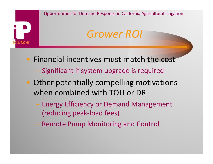

- Financial incentives must match the cost
	- Significant if system upgrade is required
- Other potentially compelling motivations when combined with TOU or DR
	- Energy Efficiency or Demand Management (reducing peak‐load fees)
	- Remote Pump Monitoring and Control